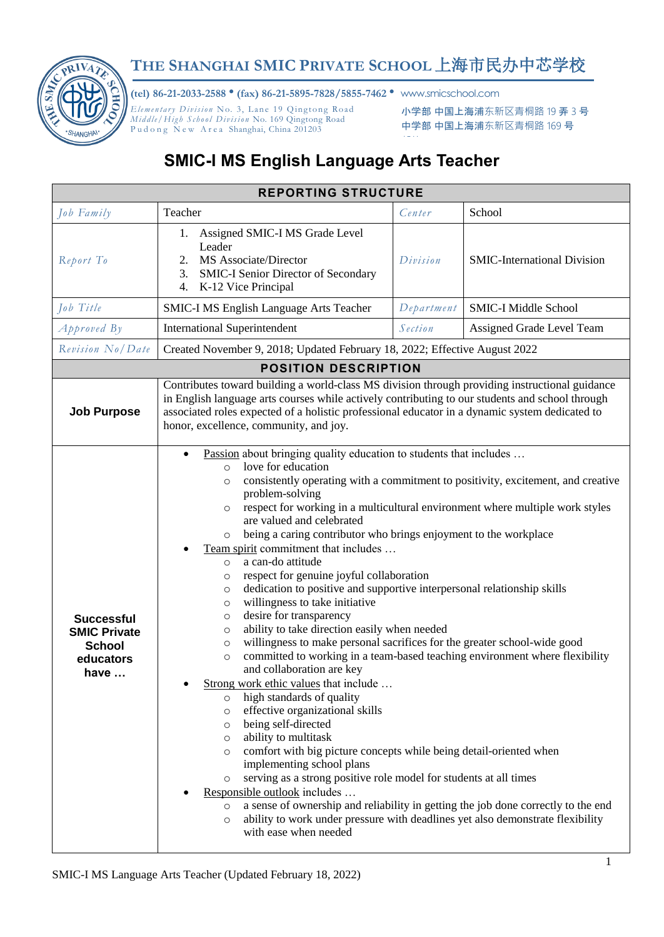

## **THE SHANGHAI SMIC PRIVATE SCHOOL** 上海市民办中芯学校

**(tel) 86-21-2033-2588** • **(fax) 86-21-5895-7828/5855-7462** • www.smicschool.com

*Elementary Division No. 3, Lane 19 Qingtong Road Mid dle / High S chool Di vis ion* No. 169 Qingtong Road Pudong New Area Shanghai, China 201203

邮编:201203

小学部 中国上海浦东新区青桐路 19 弄 3 号 中学部 中国上海浦东新区青桐路 169 号

## **SMIC-I MS English Language Arts Teacher**

| <b>REPORTING STRUCTURE</b>                                                             |                                                                                                                                                                                                                                                                                                                                                                                                                                                                                                                                                                                                                                                                                                                                                                                                                                                                                                                                                                                                                                                                                                                                                                                                                                                                                                                                                                                                                                                                                                                                                                                                                                                                                     |            |                                    |  |  |  |
|----------------------------------------------------------------------------------------|-------------------------------------------------------------------------------------------------------------------------------------------------------------------------------------------------------------------------------------------------------------------------------------------------------------------------------------------------------------------------------------------------------------------------------------------------------------------------------------------------------------------------------------------------------------------------------------------------------------------------------------------------------------------------------------------------------------------------------------------------------------------------------------------------------------------------------------------------------------------------------------------------------------------------------------------------------------------------------------------------------------------------------------------------------------------------------------------------------------------------------------------------------------------------------------------------------------------------------------------------------------------------------------------------------------------------------------------------------------------------------------------------------------------------------------------------------------------------------------------------------------------------------------------------------------------------------------------------------------------------------------------------------------------------------------|------------|------------------------------------|--|--|--|
| Job Family                                                                             | Teacher                                                                                                                                                                                                                                                                                                                                                                                                                                                                                                                                                                                                                                                                                                                                                                                                                                                                                                                                                                                                                                                                                                                                                                                                                                                                                                                                                                                                                                                                                                                                                                                                                                                                             | Center     | School                             |  |  |  |
| Report To                                                                              | Assigned SMIC-I MS Grade Level<br>Ι.<br>Leader<br>MS Associate/Director<br>2.<br>SMIC-I Senior Director of Secondary<br>3.<br>4. K-12 Vice Principal                                                                                                                                                                                                                                                                                                                                                                                                                                                                                                                                                                                                                                                                                                                                                                                                                                                                                                                                                                                                                                                                                                                                                                                                                                                                                                                                                                                                                                                                                                                                | Division   | <b>SMIC-International Division</b> |  |  |  |
| Job Title                                                                              | <b>SMIC-I MS English Language Arts Teacher</b>                                                                                                                                                                                                                                                                                                                                                                                                                                                                                                                                                                                                                                                                                                                                                                                                                                                                                                                                                                                                                                                                                                                                                                                                                                                                                                                                                                                                                                                                                                                                                                                                                                      | Department | <b>SMIC-I Middle School</b>        |  |  |  |
| $A$ pproved $By$                                                                       | <b>International Superintendent</b>                                                                                                                                                                                                                                                                                                                                                                                                                                                                                                                                                                                                                                                                                                                                                                                                                                                                                                                                                                                                                                                                                                                                                                                                                                                                                                                                                                                                                                                                                                                                                                                                                                                 | Section    | Assigned Grade Level Team          |  |  |  |
| Revision No/Date                                                                       | Created November 9, 2018; Updated February 18, 2022; Effective August 2022                                                                                                                                                                                                                                                                                                                                                                                                                                                                                                                                                                                                                                                                                                                                                                                                                                                                                                                                                                                                                                                                                                                                                                                                                                                                                                                                                                                                                                                                                                                                                                                                          |            |                                    |  |  |  |
| <b>POSITION DESCRIPTION</b>                                                            |                                                                                                                                                                                                                                                                                                                                                                                                                                                                                                                                                                                                                                                                                                                                                                                                                                                                                                                                                                                                                                                                                                                                                                                                                                                                                                                                                                                                                                                                                                                                                                                                                                                                                     |            |                                    |  |  |  |
| <b>Job Purpose</b>                                                                     | Contributes toward building a world-class MS division through providing instructional guidance<br>in English language arts courses while actively contributing to our students and school through<br>associated roles expected of a holistic professional educator in a dynamic system dedicated to<br>honor, excellence, community, and joy.                                                                                                                                                                                                                                                                                                                                                                                                                                                                                                                                                                                                                                                                                                                                                                                                                                                                                                                                                                                                                                                                                                                                                                                                                                                                                                                                       |            |                                    |  |  |  |
| <b>Successful</b><br><b>SMIC Private</b><br><b>School</b><br>educators<br>have $\dots$ | Passion about bringing quality education to students that includes<br>$\bullet$<br>love for education<br>$\circ$<br>consistently operating with a commitment to positivity, excitement, and creative<br>$\circ$<br>problem-solving<br>respect for working in a multicultural environment where multiple work styles<br>$\circ$<br>are valued and celebrated<br>being a caring contributor who brings enjoyment to the workplace<br>$\circ$<br>Team spirit commitment that includes<br>a can-do attitude<br>$\circ$<br>respect for genuine joyful collaboration<br>$\circ$<br>dedication to positive and supportive interpersonal relationship skills<br>$\circ$<br>willingness to take initiative<br>$\circ$<br>desire for transparency<br>$\circ$<br>ability to take direction easily when needed<br>$\circ$<br>willingness to make personal sacrifices for the greater school-wide good<br>$\circ$<br>committed to working in a team-based teaching environment where flexibility<br>$\circ$<br>and collaboration are key<br>Strong work ethic values that include<br>high standards of quality<br>$\circ$<br>effective organizational skills<br>$\circ$<br>being self-directed<br>$\circ$<br>ability to multitask<br>$\circ$<br>comfort with big picture concepts while being detail-oriented when<br>$\circ$<br>implementing school plans<br>serving as a strong positive role model for students at all times<br>$\circ$<br>Responsible outlook includes<br>a sense of ownership and reliability in getting the job done correctly to the end<br>$\circ$<br>ability to work under pressure with deadlines yet also demonstrate flexibility<br>$\circ$<br>with ease when needed |            |                                    |  |  |  |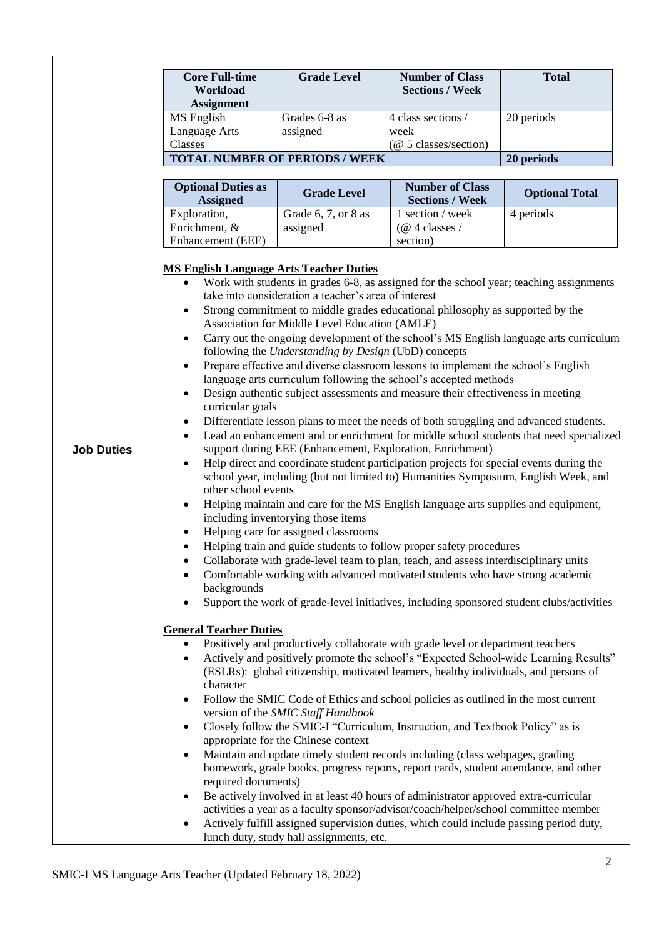|                   | <b>Core Full-time</b>                                                                                                                                                                                                                                                                                                                                                                                                                                                                                                                                                                                                                                                                                                                                                                                                                                                                                                                                                                                                                                                                                                                                                                                                                                                                                                                                                                                                                                                                                                                                                                                                                                                                                                                                                                                                                                                                                                                                                                                                                                                                                                                                                                                                                                                                                 | <b>Grade Level</b>                                                                  | <b>Number of Class</b>                                                                 | <b>Total</b>          |
|-------------------|-------------------------------------------------------------------------------------------------------------------------------------------------------------------------------------------------------------------------------------------------------------------------------------------------------------------------------------------------------------------------------------------------------------------------------------------------------------------------------------------------------------------------------------------------------------------------------------------------------------------------------------------------------------------------------------------------------------------------------------------------------------------------------------------------------------------------------------------------------------------------------------------------------------------------------------------------------------------------------------------------------------------------------------------------------------------------------------------------------------------------------------------------------------------------------------------------------------------------------------------------------------------------------------------------------------------------------------------------------------------------------------------------------------------------------------------------------------------------------------------------------------------------------------------------------------------------------------------------------------------------------------------------------------------------------------------------------------------------------------------------------------------------------------------------------------------------------------------------------------------------------------------------------------------------------------------------------------------------------------------------------------------------------------------------------------------------------------------------------------------------------------------------------------------------------------------------------------------------------------------------------------------------------------------------------|-------------------------------------------------------------------------------------|----------------------------------------------------------------------------------------|-----------------------|
|                   | Workload                                                                                                                                                                                                                                                                                                                                                                                                                                                                                                                                                                                                                                                                                                                                                                                                                                                                                                                                                                                                                                                                                                                                                                                                                                                                                                                                                                                                                                                                                                                                                                                                                                                                                                                                                                                                                                                                                                                                                                                                                                                                                                                                                                                                                                                                                              |                                                                                     | <b>Sections / Week</b>                                                                 |                       |
|                   | <b>Assignment</b>                                                                                                                                                                                                                                                                                                                                                                                                                                                                                                                                                                                                                                                                                                                                                                                                                                                                                                                                                                                                                                                                                                                                                                                                                                                                                                                                                                                                                                                                                                                                                                                                                                                                                                                                                                                                                                                                                                                                                                                                                                                                                                                                                                                                                                                                                     |                                                                                     |                                                                                        |                       |
|                   | MS English                                                                                                                                                                                                                                                                                                                                                                                                                                                                                                                                                                                                                                                                                                                                                                                                                                                                                                                                                                                                                                                                                                                                                                                                                                                                                                                                                                                                                                                                                                                                                                                                                                                                                                                                                                                                                                                                                                                                                                                                                                                                                                                                                                                                                                                                                            | Grades 6-8 as                                                                       | 4 class sections /                                                                     | 20 periods            |
|                   | Language Arts<br>Classes                                                                                                                                                                                                                                                                                                                                                                                                                                                                                                                                                                                                                                                                                                                                                                                                                                                                                                                                                                                                                                                                                                                                                                                                                                                                                                                                                                                                                                                                                                                                                                                                                                                                                                                                                                                                                                                                                                                                                                                                                                                                                                                                                                                                                                                                              | assigned                                                                            | week<br>$(\textcircled{a} 5 \text{ classes}/\text{section})$                           |                       |
|                   |                                                                                                                                                                                                                                                                                                                                                                                                                                                                                                                                                                                                                                                                                                                                                                                                                                                                                                                                                                                                                                                                                                                                                                                                                                                                                                                                                                                                                                                                                                                                                                                                                                                                                                                                                                                                                                                                                                                                                                                                                                                                                                                                                                                                                                                                                                       |                                                                                     |                                                                                        | 20 periods            |
|                   | <b>TOTAL NUMBER OF PERIODS / WEEK</b>                                                                                                                                                                                                                                                                                                                                                                                                                                                                                                                                                                                                                                                                                                                                                                                                                                                                                                                                                                                                                                                                                                                                                                                                                                                                                                                                                                                                                                                                                                                                                                                                                                                                                                                                                                                                                                                                                                                                                                                                                                                                                                                                                                                                                                                                 |                                                                                     |                                                                                        |                       |
|                   | <b>Optional Duties as</b><br><b>Assigned</b>                                                                                                                                                                                                                                                                                                                                                                                                                                                                                                                                                                                                                                                                                                                                                                                                                                                                                                                                                                                                                                                                                                                                                                                                                                                                                                                                                                                                                                                                                                                                                                                                                                                                                                                                                                                                                                                                                                                                                                                                                                                                                                                                                                                                                                                          | <b>Grade Level</b>                                                                  | <b>Number of Class</b><br><b>Sections / Week</b>                                       | <b>Optional Total</b> |
|                   | Exploration,                                                                                                                                                                                                                                                                                                                                                                                                                                                                                                                                                                                                                                                                                                                                                                                                                                                                                                                                                                                                                                                                                                                                                                                                                                                                                                                                                                                                                                                                                                                                                                                                                                                                                                                                                                                                                                                                                                                                                                                                                                                                                                                                                                                                                                                                                          | Grade 6, 7, or 8 as                                                                 | 1 section / week                                                                       | 4 periods             |
|                   | Enrichment, &                                                                                                                                                                                                                                                                                                                                                                                                                                                                                                                                                                                                                                                                                                                                                                                                                                                                                                                                                                                                                                                                                                                                                                                                                                                                                                                                                                                                                                                                                                                                                                                                                                                                                                                                                                                                                                                                                                                                                                                                                                                                                                                                                                                                                                                                                         | assigned                                                                            | $(\omega$ 4 classes /                                                                  |                       |
|                   | Enhancement (EEE)                                                                                                                                                                                                                                                                                                                                                                                                                                                                                                                                                                                                                                                                                                                                                                                                                                                                                                                                                                                                                                                                                                                                                                                                                                                                                                                                                                                                                                                                                                                                                                                                                                                                                                                                                                                                                                                                                                                                                                                                                                                                                                                                                                                                                                                                                     |                                                                                     | section)                                                                               |                       |
| <b>Job Duties</b> | <b>MS English Language Arts Teacher Duties</b><br>Work with students in grades 6-8, as assigned for the school year; teaching assignments<br>$\bullet$<br>take into consideration a teacher's area of interest<br>Strong commitment to middle grades educational philosophy as supported by the<br>٠<br>Association for Middle Level Education (AMLE)<br>Carry out the ongoing development of the school's MS English language arts curriculum<br>$\bullet$<br>following the Understanding by Design (UbD) concepts<br>Prepare effective and diverse classroom lessons to implement the school's English<br>$\bullet$<br>language arts curriculum following the school's accepted methods<br>Design authentic subject assessments and measure their effectiveness in meeting<br>$\bullet$<br>curricular goals<br>Differentiate lesson plans to meet the needs of both struggling and advanced students.<br>٠<br>Lead an enhancement and or enrichment for middle school students that need specialized<br>support during EEE (Enhancement, Exploration, Enrichment)<br>Help direct and coordinate student participation projects for special events during the<br>school year, including (but not limited to) Humanities Symposium, English Week, and<br>other school events<br>Helping maintain and care for the MS English language arts supplies and equipment,<br>including inventorying those items<br>Helping care for assigned classrooms<br>Helping train and guide students to follow proper safety procedures<br>$\bullet$<br>Collaborate with grade-level team to plan, teach, and assess interdisciplinary units<br>Comfortable working with advanced motivated students who have strong academic<br>backgrounds<br>Support the work of grade-level initiatives, including sponsored student clubs/activities<br><b>General Teacher Duties</b><br>Positively and productively collaborate with grade level or department teachers<br>$\bullet$<br>Actively and positively promote the school's "Expected School-wide Learning Results"<br>٠<br>(ESLRs): global citizenship, motivated learners, healthy individuals, and persons of<br>character<br>Follow the SMIC Code of Ethics and school policies as outlined in the most current<br>$\bullet$<br>version of the SMIC Staff Handbook |                                                                                     |                                                                                        |                       |
|                   | Closely follow the SMIC-I "Curriculum, Instruction, and Textbook Policy" as is<br>$\bullet$<br>appropriate for the Chinese context<br>Maintain and update timely student records including (class webpages, grading                                                                                                                                                                                                                                                                                                                                                                                                                                                                                                                                                                                                                                                                                                                                                                                                                                                                                                                                                                                                                                                                                                                                                                                                                                                                                                                                                                                                                                                                                                                                                                                                                                                                                                                                                                                                                                                                                                                                                                                                                                                                                   |                                                                                     |                                                                                        |                       |
|                   | homework, grade books, progress reports, report cards, student attendance, and other<br>required documents)<br>Be actively involved in at least 40 hours of administrator approved extra-curricular                                                                                                                                                                                                                                                                                                                                                                                                                                                                                                                                                                                                                                                                                                                                                                                                                                                                                                                                                                                                                                                                                                                                                                                                                                                                                                                                                                                                                                                                                                                                                                                                                                                                                                                                                                                                                                                                                                                                                                                                                                                                                                   |                                                                                     |                                                                                        |                       |
|                   |                                                                                                                                                                                                                                                                                                                                                                                                                                                                                                                                                                                                                                                                                                                                                                                                                                                                                                                                                                                                                                                                                                                                                                                                                                                                                                                                                                                                                                                                                                                                                                                                                                                                                                                                                                                                                                                                                                                                                                                                                                                                                                                                                                                                                                                                                                       | activities a year as a faculty sponsor/advisor/coach/helper/school committee member |                                                                                        |                       |
|                   |                                                                                                                                                                                                                                                                                                                                                                                                                                                                                                                                                                                                                                                                                                                                                                                                                                                                                                                                                                                                                                                                                                                                                                                                                                                                                                                                                                                                                                                                                                                                                                                                                                                                                                                                                                                                                                                                                                                                                                                                                                                                                                                                                                                                                                                                                                       |                                                                                     | Actively fulfill assigned supervision duties, which could include passing period duty, |                       |
|                   |                                                                                                                                                                                                                                                                                                                                                                                                                                                                                                                                                                                                                                                                                                                                                                                                                                                                                                                                                                                                                                                                                                                                                                                                                                                                                                                                                                                                                                                                                                                                                                                                                                                                                                                                                                                                                                                                                                                                                                                                                                                                                                                                                                                                                                                                                                       | lunch duty, study hall assignments, etc.                                            |                                                                                        |                       |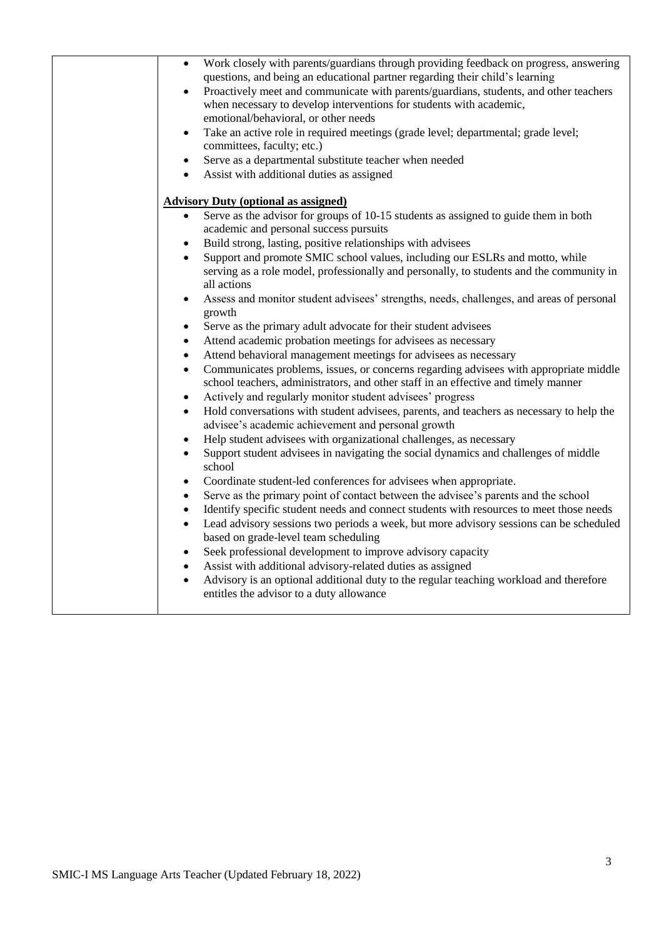| Work closely with parents/guardians through providing feedback on progress, answering<br>$\bullet$<br>questions, and being an educational partner regarding their child's learning<br>Proactively meet and communicate with parents/guardians, students, and other teachers<br>$\bullet$<br>when necessary to develop interventions for students with academic,<br>emotional/behavioral, or other needs<br>Take an active role in required meetings (grade level; departmental; grade level;<br>$\bullet$<br>committees, faculty; etc.)<br>Serve as a departmental substitute teacher when needed<br>$\bullet$<br>Assist with additional duties as assigned<br>$\bullet$                                                                                                                                                                                                                                                                                                                                                                                                                                                                                                                                                                                                                                                                                                                                                                                                                                                                                                                                                                                                                               |
|--------------------------------------------------------------------------------------------------------------------------------------------------------------------------------------------------------------------------------------------------------------------------------------------------------------------------------------------------------------------------------------------------------------------------------------------------------------------------------------------------------------------------------------------------------------------------------------------------------------------------------------------------------------------------------------------------------------------------------------------------------------------------------------------------------------------------------------------------------------------------------------------------------------------------------------------------------------------------------------------------------------------------------------------------------------------------------------------------------------------------------------------------------------------------------------------------------------------------------------------------------------------------------------------------------------------------------------------------------------------------------------------------------------------------------------------------------------------------------------------------------------------------------------------------------------------------------------------------------------------------------------------------------------------------------------------------------|
| <b>Advisory Duty (optional as assigned)</b>                                                                                                                                                                                                                                                                                                                                                                                                                                                                                                                                                                                                                                                                                                                                                                                                                                                                                                                                                                                                                                                                                                                                                                                                                                                                                                                                                                                                                                                                                                                                                                                                                                                            |
| Serve as the advisor for groups of 10-15 students as assigned to guide them in both<br>academic and personal success pursuits<br>Build strong, lasting, positive relationships with advisees<br>$\bullet$<br>Support and promote SMIC school values, including our ESLRs and motto, while<br>$\bullet$<br>serving as a role model, professionally and personally, to students and the community in<br>all actions<br>Assess and monitor student advisees' strengths, needs, challenges, and areas of personal<br>$\bullet$<br>growth<br>Serve as the primary adult advocate for their student advisees<br>Attend academic probation meetings for advisees as necessary<br>$\bullet$<br>Attend behavioral management meetings for advisees as necessary<br>$\bullet$<br>Communicates problems, issues, or concerns regarding advisees with appropriate middle<br>$\bullet$<br>school teachers, administrators, and other staff in an effective and timely manner<br>Actively and regularly monitor student advisees' progress<br>$\bullet$<br>Hold conversations with student advisees, parents, and teachers as necessary to help the<br>$\bullet$<br>advisee's academic achievement and personal growth<br>Help student advisees with organizational challenges, as necessary<br>$\bullet$<br>Support student advisees in navigating the social dynamics and challenges of middle<br>$\bullet$<br>school<br>Coordinate student-led conferences for advisees when appropriate.<br>$\bullet$<br>Serve as the primary point of contact between the advisee's parents and the school<br>$\bullet$<br>Identify specific student needs and connect students with resources to meet those needs<br>$\bullet$ |
| Lead advisory sessions two periods a week, but more advisory sessions can be scheduled<br>$\bullet$<br>based on grade-level team scheduling<br>Seek professional development to improve advisory capacity<br>$\bullet$<br>Assist with additional advisory-related duties as assigned<br>$\bullet$<br>Advisory is an optional additional duty to the regular teaching workload and therefore<br>$\bullet$<br>entitles the advisor to a duty allowance                                                                                                                                                                                                                                                                                                                                                                                                                                                                                                                                                                                                                                                                                                                                                                                                                                                                                                                                                                                                                                                                                                                                                                                                                                                   |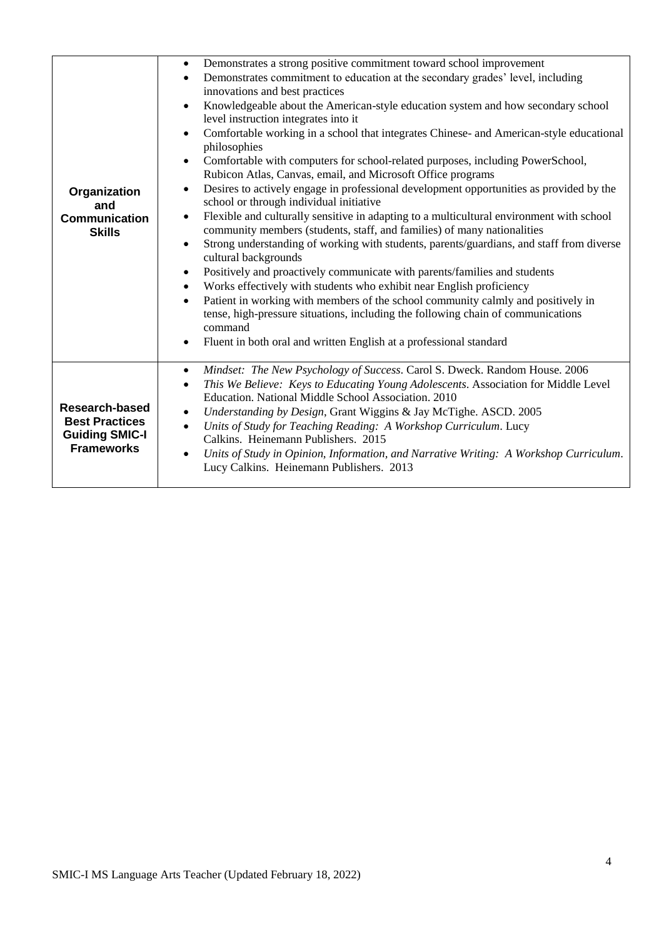| Organization<br>and<br><b>Communication</b><br><b>Skills</b>                                 | Demonstrates a strong positive commitment toward school improvement<br>$\bullet$<br>Demonstrates commitment to education at the secondary grades' level, including<br>$\bullet$<br>innovations and best practices<br>Knowledgeable about the American-style education system and how secondary school<br>$\bullet$<br>level instruction integrates into it<br>Comfortable working in a school that integrates Chinese- and American-style educational<br>$\bullet$<br>philosophies<br>Comfortable with computers for school-related purposes, including PowerSchool,<br>$\bullet$<br>Rubicon Atlas, Canvas, email, and Microsoft Office programs<br>Desires to actively engage in professional development opportunities as provided by the<br>$\bullet$<br>school or through individual initiative<br>Flexible and culturally sensitive in adapting to a multicultural environment with school<br>$\bullet$<br>community members (students, staff, and families) of many nationalities<br>Strong understanding of working with students, parents/guardians, and staff from diverse<br>$\bullet$<br>cultural backgrounds<br>Positively and proactively communicate with parents/families and students<br>$\bullet$<br>Works effectively with students who exhibit near English proficiency<br>$\bullet$<br>Patient in working with members of the school community calmly and positively in<br>$\bullet$<br>tense, high-pressure situations, including the following chain of communications<br>command<br>Fluent in both oral and written English at a professional standard<br>$\bullet$ |  |
|----------------------------------------------------------------------------------------------|--------------------------------------------------------------------------------------------------------------------------------------------------------------------------------------------------------------------------------------------------------------------------------------------------------------------------------------------------------------------------------------------------------------------------------------------------------------------------------------------------------------------------------------------------------------------------------------------------------------------------------------------------------------------------------------------------------------------------------------------------------------------------------------------------------------------------------------------------------------------------------------------------------------------------------------------------------------------------------------------------------------------------------------------------------------------------------------------------------------------------------------------------------------------------------------------------------------------------------------------------------------------------------------------------------------------------------------------------------------------------------------------------------------------------------------------------------------------------------------------------------------------------------------------------------------------------------------------|--|
|                                                                                              |                                                                                                                                                                                                                                                                                                                                                                                                                                                                                                                                                                                                                                                                                                                                                                                                                                                                                                                                                                                                                                                                                                                                                                                                                                                                                                                                                                                                                                                                                                                                                                                            |  |
| <b>Research-based</b><br><b>Best Practices</b><br><b>Guiding SMIC-I</b><br><b>Frameworks</b> | Mindset: The New Psychology of Success. Carol S. Dweck. Random House. 2006<br>$\bullet$<br>This We Believe: Keys to Educating Young Adolescents. Association for Middle Level<br>$\bullet$<br>Education. National Middle School Association. 2010<br>Understanding by Design, Grant Wiggins & Jay McTighe. ASCD. 2005<br>$\bullet$<br>Units of Study for Teaching Reading: A Workshop Curriculum. Lucy<br>$\bullet$<br>Calkins. Heinemann Publishers. 2015<br>Units of Study in Opinion, Information, and Narrative Writing: A Workshop Curriculum.<br>$\bullet$<br>Lucy Calkins. Heinemann Publishers. 2013                                                                                                                                                                                                                                                                                                                                                                                                                                                                                                                                                                                                                                                                                                                                                                                                                                                                                                                                                                               |  |